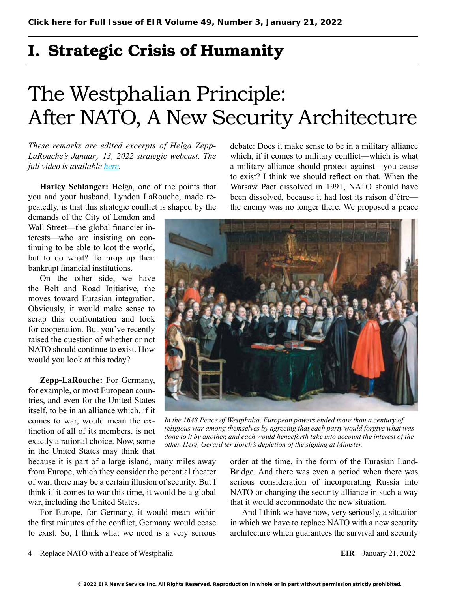## I. Strategic Crisis of Humanity

## The Westphalian Principle: After NATO, A New Security Architecture

*These remarks are edited excerpts of Helga Zepp-LaRouche's January 13, 2022 strategic webcast. The full video is available [here.](https://schillerinstitute.com/blog/2022/01/13/webcast-replace-nato-with-a-security-architecture-based-on-the-westphalian-principle/)*

**Harley Schlanger:** Helga, one of the points that you and your husband, Lyndon LaRouche, made repeatedly, is that this strategic conflict is shaped by the

demands of the City of London and Wall Street—the global financier interests—who are insisting on continuing to be able to loot the world, but to do what? To prop up their bankrupt financial institutions.

On the other side, we have the Belt and Road Initiative, the moves toward Eurasian integration. Obviously, it would make sense to scrap this confrontation and look for cooperation. But you've recently raised the question of whether or not NATO should continue to exist. How would you look at this today?

**Zepp-LaRouche:** For Germany, for example, or most European countries, and even for the United States itself, to be in an alliance which, if it comes to war, would mean the extinction of all of its members, is not exactly a rational choice. Now, some in the United States may think that

because it is part of a large island, many miles away from Europe, which they consider the potential theater of war, there may be a certain illusion of security. But I think if it comes to war this time, it would be a global war, including the United States.

For Europe, for Germany, it would mean within the first minutes of the conflict, Germany would cease to exist. So, I think what we need is a very serious

debate: Does it make sense to be in a military alliance which, if it comes to military conflict—which is what a military alliance should protect against—you cease to exist? I think we should reflect on that. When the Warsaw Pact dissolved in 1991, NATO should have been dissolved, because it had lost its raison d'être the enemy was no longer there. We proposed a peace



*In the 1648 Peace of Westphalia, European powers ended more than a century of religious war among themselves by agreeing that each party would forgive what was done to it by another, and each would henceforth take into account the interest of the other. Here, Gerard ter Borch's depiction of the signing at Münster.* 

order at the time, in the form of the Eurasian Land-Bridge. And there was even a period when there was serious consideration of incorporating Russia into NATO or changing the security alliance in such a way that it would accommodate the new situation.

And I think we have now, very seriously, a situation in which we have to replace NATO with a new security architecture which guarantees the survival and security

4 Replace NATO with a Peace of Westphalia **EIR** January 21, 2022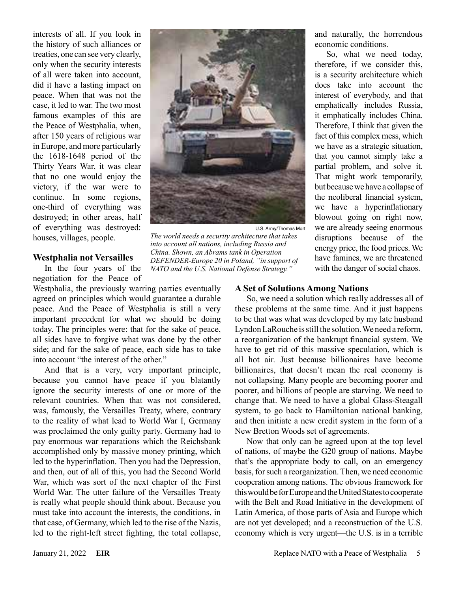interests of all. If you look in the history of such alliances or treaties, one can see very clearly, only when the security interests of all were taken into account, did it have a lasting impact on peace. When that was not the case, it led to war. The two most famous examples of this are the Peace of Westphalia, when, after 150 years of religious war in Europe, and more particularly the 1618-1648 period of the Thirty Years War, it was clear that no one would enjoy the victory, if the war were to continue. In some regions, one-third of everything was destroyed; in other areas, half of everything was destroyed: houses, villages, people.

## **Westphalia not Versailles**

In the four years of the negotiation for the Peace of

Westphalia, the previously warring parties eventually agreed on principles which would guarantee a durable peace. And the Peace of Westphalia is still a very important precedent for what we should be doing today. The principles were: that for the sake of peace, all sides have to forgive what was done by the other side; and for the sake of peace, each side has to take into account "the interest of the other."

And that is a very, very important principle, because you cannot have peace if you blatantly ignore the security interests of one or more of the relevant countries. When that was not considered, was, famously, the Versailles Treaty, where, contrary to the reality of what lead to World War I, Germany was proclaimed the only guilty party. Germany had to pay enormous war reparations which the Reichsbank accomplished only by massive money printing, which led to the hyperinflation. Then you had the Depression, and then, out of all of this, you had the Second World War, which was sort of the next chapter of the First World War. The utter failure of the Versailles Treaty is really what people should think about. Because you must take into account the interests, the conditions, in that case, of Germany, which led to the rise of the Nazis, led to the right-left street fighting, the total collapse,



U.S. Army/Thomas Mort *The world needs a security architecture that takes into account all nations, including Russia and China. Shown, an Abrams tank in Operation DEFENDER-Europe 20 in Poland, "in support of NATO and the U.S. National Defense Strategy."*

and naturally, the horrendous economic conditions.

So, what we need today, therefore, if we consider this, is a security architecture which does take into account the interest of everybody, and that emphatically includes Russia, it emphatically includes China. Therefore, I think that given the fact of this complex mess, which we have as a strategic situation, that you cannot simply take a partial problem, and solve it. That might work temporarily, but because we have a collapse of the neoliberal financial system, we have a hyperinflationary blowout going on right now, we are already seeing enormous disruptions because of the energy price, the food prices. We have famines, we are threatened with the danger of social chaos.

## **A Set of Solutions Among Nations**

So, we need a solution which really addresses all of these problems at the same time. And it just happens to be that was what was developed by my late husband Lyndon LaRouche is still the solution. We need a reform, a reorganization of the bankrupt financial system. We have to get rid of this massive speculation, which is all hot air. Just because billionaires have become billionaires, that doesn't mean the real economy is not collapsing. Many people are becoming poorer and poorer, and billions of people are starving. We need to change that. We need to have a global Glass-Steagall system, to go back to Hamiltonian national banking, and then initiate a new credit system in the form of a New Bretton Woods set of agreements.

Now that only can be agreed upon at the top level of nations, of maybe the G20 group of nations. Maybe that's the appropriate body to call, on an emergency basis, for such a reorganization. Then, we need economic cooperation among nations. The obvious framework for this would be for Europe and the United States to cooperate with the Belt and Road Initiative in the development of Latin America, of those parts of Asia and Europe which are not yet developed; and a reconstruction of the U.S. economy which is very urgent—the U.S. is in a terrible